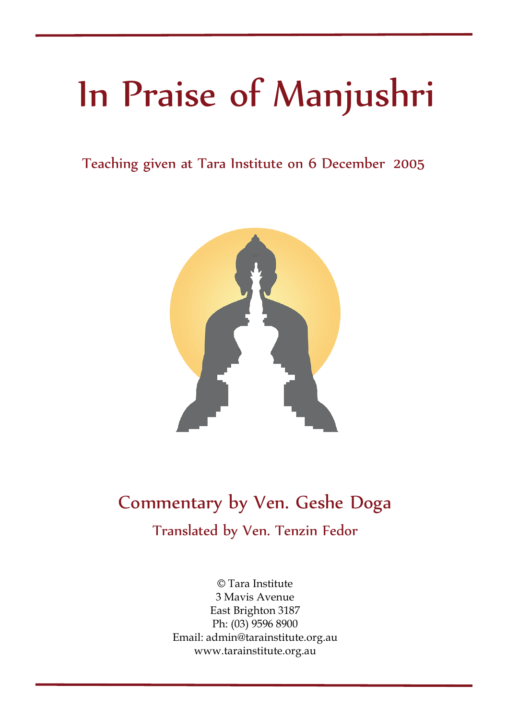# In Praise of Manjushri

Teaching given at Tara Institute on 6 December 2005



### Commentary by Ven. Geshe Doga

Translated by Ven. Tenzin Fedor

© Tara Institute 3 Mavis Avenue East Brighton 3187 Ph: (03) 9596 8900 Email: admin@tarainstitute.org.au www.tarainstitute.org.au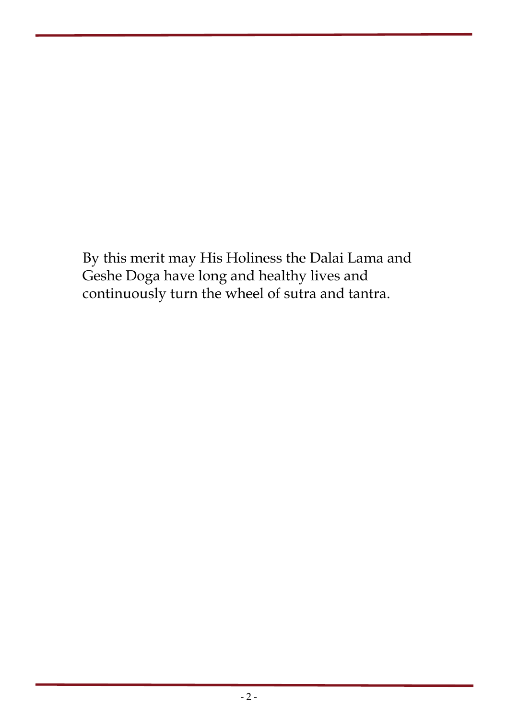By this merit may His Holiness the Dalai Lama and Geshe Doga have long and healthy lives and continuously turn the wheel of sutra and tantra.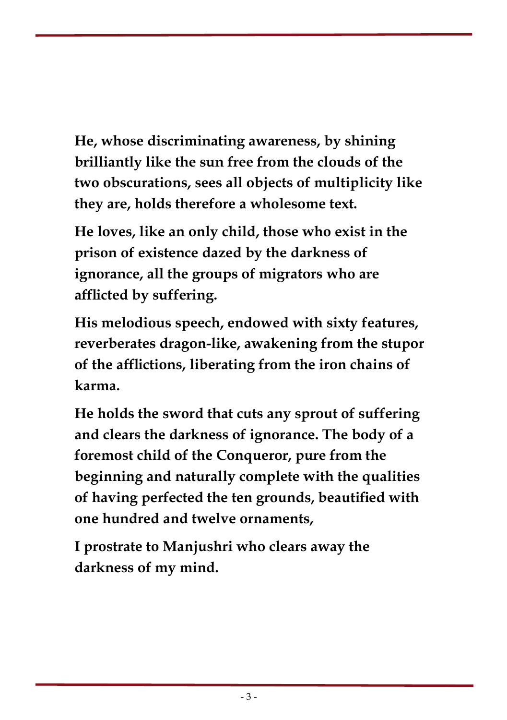**He, whose discriminating awareness, by shining brilliantly like the sun free from the clouds of the two obscurations, sees all objects of multiplicity like they are, holds therefore a wholesome text.** 

**He loves, like an only child, those who exist in the prison of existence dazed by the darkness of ignorance, all the groups of migrators who are afflicted by suffering.** 

**His melodious speech, endowed with sixty features, reverberates dragon-like, awakening from the stupor of the afflictions, liberating from the iron chains of karma.** 

**He holds the sword that cuts any sprout of suffering and clears the darkness of ignorance. The body of a foremost child of the Conqueror, pure from the beginning and naturally complete with the qualities of having perfected the ten grounds, beautified with one hundred and twelve ornaments,** 

**I prostrate to Manjushri who clears away the darkness of my mind.**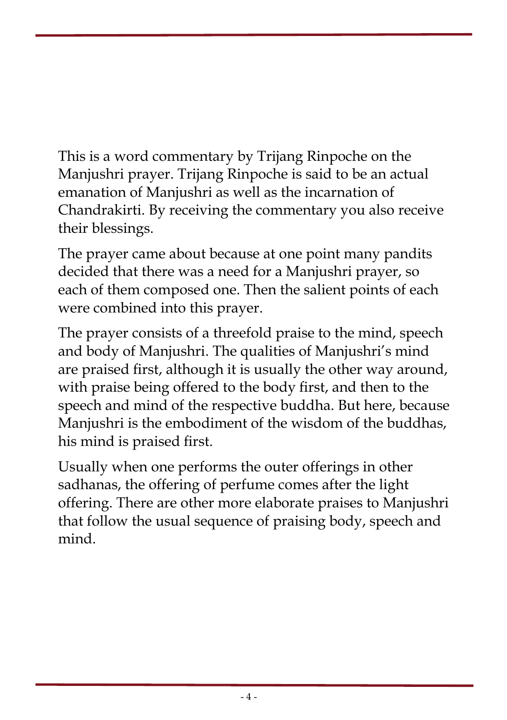This is a word commentary by Trijang Rinpoche on the Manjushri prayer. Trijang Rinpoche is said to be an actual emanation of Manjushri as well as the incarnation of Chandrakirti. By receiving the commentary you also receive their blessings.

The prayer came about because at one point many pandits decided that there was a need for a Manjushri prayer, so each of them composed one. Then the salient points of each were combined into this prayer.

The prayer consists of a threefold praise to the mind, speech and body of Manjushri. The qualities of Manjushri's mind are praised first, although it is usually the other way around, with praise being offered to the body first, and then to the speech and mind of the respective buddha. But here, because Manjushri is the embodiment of the wisdom of the buddhas, his mind is praised first.

Usually when one performs the outer offerings in other sadhanas, the offering of perfume comes after the light offering. There are other more elaborate praises to Manjushri that follow the usual sequence of praising body, speech and mind.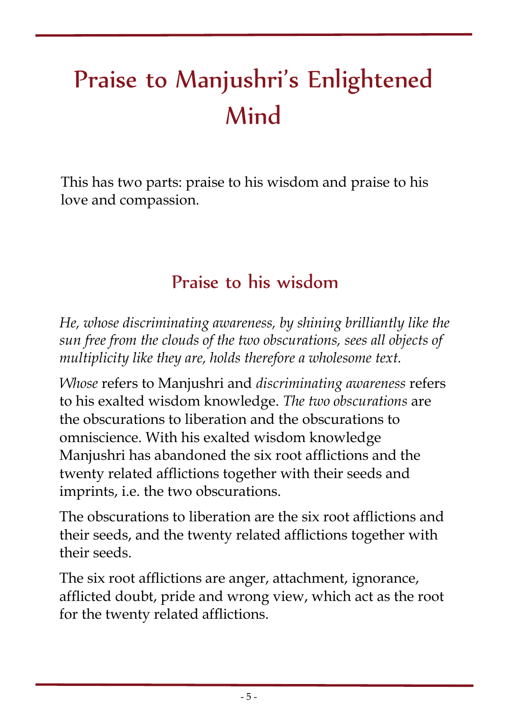### Praise to Manjushri's Enlightened Mind

This has two parts: praise to his wisdom and praise to his love and compassion.

#### Praise to his wisdom

*He, whose discriminating awareness, by shining brilliantly like the sun free from the clouds of the two obscurations, sees all objects of multiplicity like they are, holds therefore a wholesome text.* 

*Whose* refers to Manjushri and *discriminating awareness* refers to his exalted wisdom knowledge. *The two obscurations* are the obscurations to liberation and the obscurations to omniscience. With his exalted wisdom knowledge Manjushri has abandoned the six root afflictions and the twenty related afflictions together with their seeds and imprints, i.e. the two obscurations.

The obscurations to liberation are the six root afflictions and their seeds, and the twenty related afflictions together with their seeds.

The six root afflictions are anger, attachment, ignorance, afflicted doubt, pride and wrong view, which act as the root for the twenty related afflictions.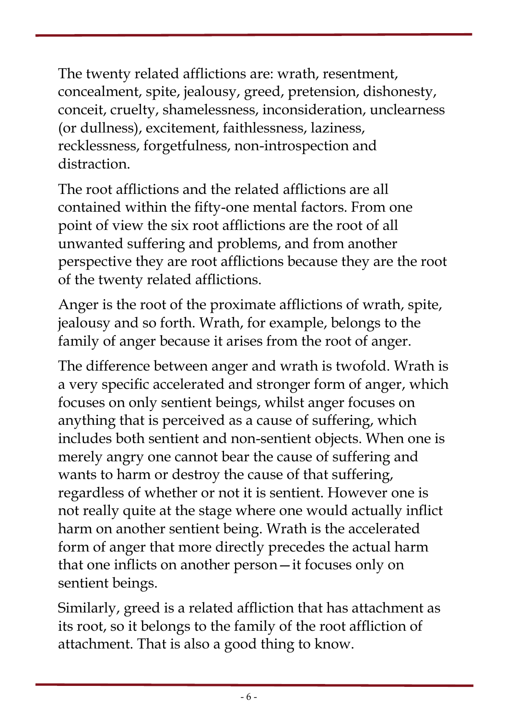The twenty related afflictions are: wrath, resentment, concealment, spite, jealousy, greed, pretension, dishonesty, conceit, cruelty, shamelessness, inconsideration, unclearness (or dullness), excitement, faithlessness, laziness, recklessness, forgetfulness, non-introspection and distraction.

The root afflictions and the related afflictions are all contained within the fifty-one mental factors. From one point of view the six root afflictions are the root of all unwanted suffering and problems, and from another perspective they are root afflictions because they are the root of the twenty related afflictions.

Anger is the root of the proximate afflictions of wrath, spite, jealousy and so forth. Wrath, for example, belongs to the family of anger because it arises from the root of anger.

The difference between anger and wrath is twofold. Wrath is a very specific accelerated and stronger form of anger, which focuses on only sentient beings, whilst anger focuses on anything that is perceived as a cause of suffering, which includes both sentient and non-sentient objects. When one is merely angry one cannot bear the cause of suffering and wants to harm or destroy the cause of that suffering, regardless of whether or not it is sentient. However one is not really quite at the stage where one would actually inflict harm on another sentient being. Wrath is the accelerated form of anger that more directly precedes the actual harm that one inflicts on another person—it focuses only on sentient beings.

Similarly, greed is a related affliction that has attachment as its root, so it belongs to the family of the root affliction of attachment. That is also a good thing to know.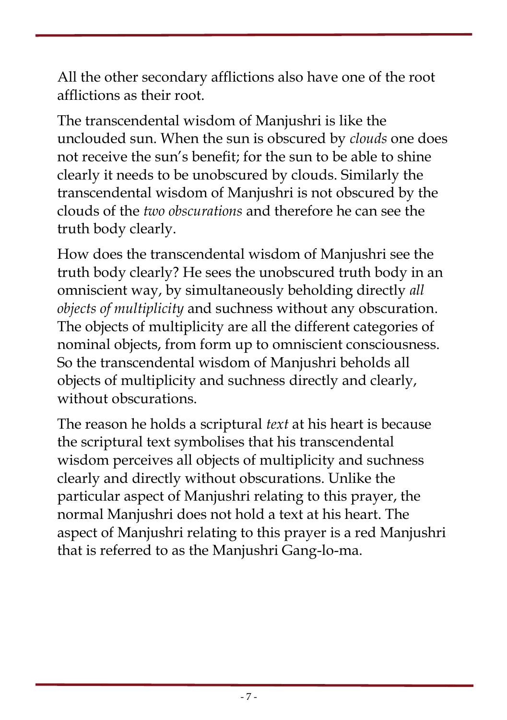All the other secondary afflictions also have one of the root afflictions as their root.

The transcendental wisdom of Manjushri is like the unclouded sun. When the sun is obscured by *clouds* one does not receive the sun's benefit; for the sun to be able to shine clearly it needs to be unobscured by clouds. Similarly the transcendental wisdom of Manjushri is not obscured by the clouds of the *two obscurations* and therefore he can see the truth body clearly.

How does the transcendental wisdom of Manjushri see the truth body clearly? He sees the unobscured truth body in an omniscient way, by simultaneously beholding directly *all objects of multiplicity* and suchness without any obscuration. The objects of multiplicity are all the different categories of nominal objects, from form up to omniscient consciousness. So the transcendental wisdom of Manjushri beholds all objects of multiplicity and suchness directly and clearly, without obscurations.

The reason he holds a scriptural *text* at his heart is because the scriptural text symbolises that his transcendental wisdom perceives all objects of multiplicity and suchness clearly and directly without obscurations. Unlike the particular aspect of Manjushri relating to this prayer, the normal Manjushri does not hold a text at his heart. The aspect of Manjushri relating to this prayer is a red Manjushri that is referred to as the Manjushri Gang-lo-ma.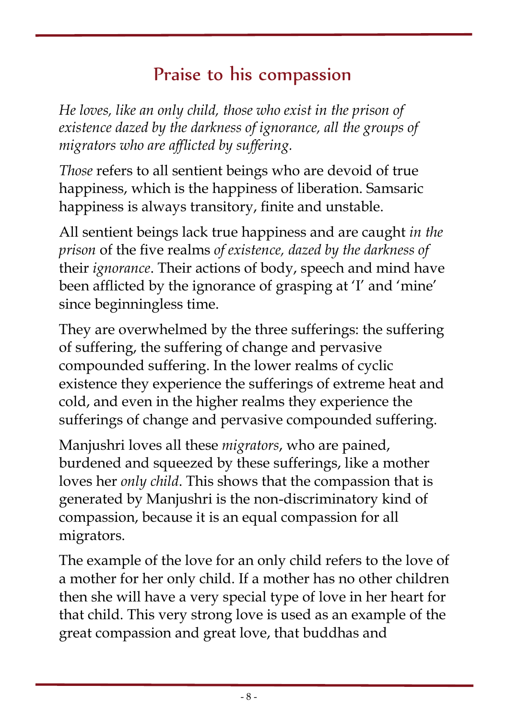#### Praise to his compassion

*He loves, like an only child, those who exist in the prison of existence dazed by the darkness of ignorance, all the groups of migrators who are afflicted by suffering.* 

*Those* refers to all sentient beings who are devoid of true happiness, which is the happiness of liberation. Samsaric happiness is always transitory, finite and unstable.

All sentient beings lack true happiness and are caught *in the prison* of the five realms *of existence, dazed by the darkness of* their *ignorance*. Their actions of body, speech and mind have been afflicted by the ignorance of grasping at 'I' and 'mine' since beginningless time.

They are overwhelmed by the three sufferings: the suffering of suffering, the suffering of change and pervasive compounded suffering. In the lower realms of cyclic existence they experience the sufferings of extreme heat and cold, and even in the higher realms they experience the sufferings of change and pervasive compounded suffering.

Manjushri loves all these *migrators*, who are pained, burdened and squeezed by these sufferings, like a mother loves her *only child*. This shows that the compassion that is generated by Manjushri is the non-discriminatory kind of compassion, because it is an equal compassion for all migrators.

The example of the love for an only child refers to the love of a mother for her only child. If a mother has no other children then she will have a very special type of love in her heart for that child. This very strong love is used as an example of the great compassion and great love, that buddhas and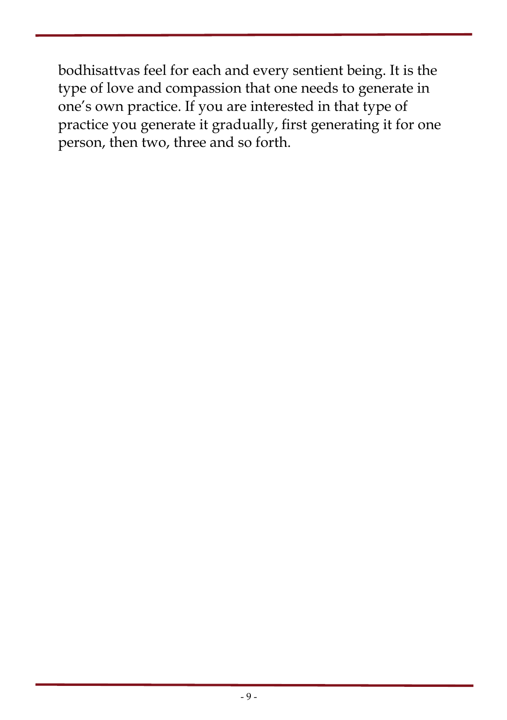bodhisattvas feel for each and every sentient being. It is the type of love and compassion that one needs to generate in one's own practice. If you are interested in that type of practice you generate it gradually, first generating it for one person, then two, three and so forth.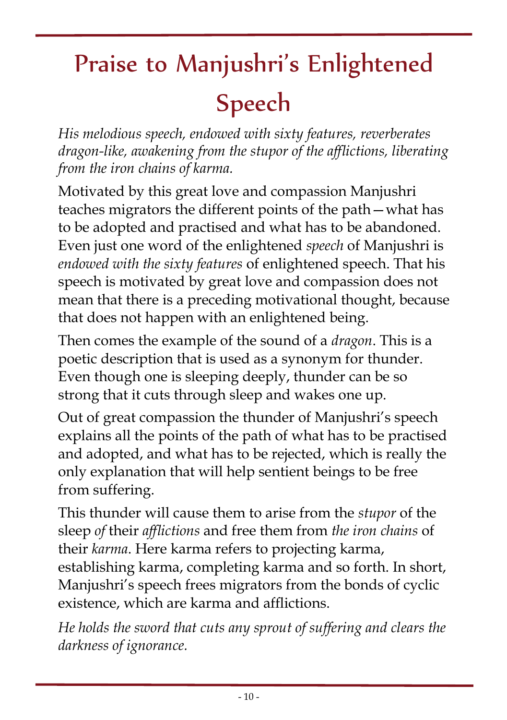# Praise to Manjushri's Enlightened Speech

*His melodious speech, endowed with sixty features, reverberates dragon-like, awakening from the stupor of the afflictions, liberating from the iron chains of karma.* 

Motivated by this great love and compassion Manjushri teaches migrators the different points of the path—what has to be adopted and practised and what has to be abandoned. Even just one word of the enlightened *speech* of Manjushri is *endowed with the sixty features* of enlightened speech. That his speech is motivated by great love and compassion does not mean that there is a preceding motivational thought, because that does not happen with an enlightened being.

Then comes the example of the sound of a *dragon*. This is a poetic description that is used as a synonym for thunder. Even though one is sleeping deeply, thunder can be so strong that it cuts through sleep and wakes one up.

Out of great compassion the thunder of Manjushri's speech explains all the points of the path of what has to be practised and adopted, and what has to be rejected, which is really the only explanation that will help sentient beings to be free from suffering.

This thunder will cause them to arise from the *stupor* of the sleep *of* their *afflictions* and free them from *the iron chains* of their *karma*. Here karma refers to projecting karma, establishing karma, completing karma and so forth. In short, Manjushri's speech frees migrators from the bonds of cyclic existence, which are karma and afflictions.

*He holds the sword that cuts any sprout of suffering and clears the darkness of ignorance.*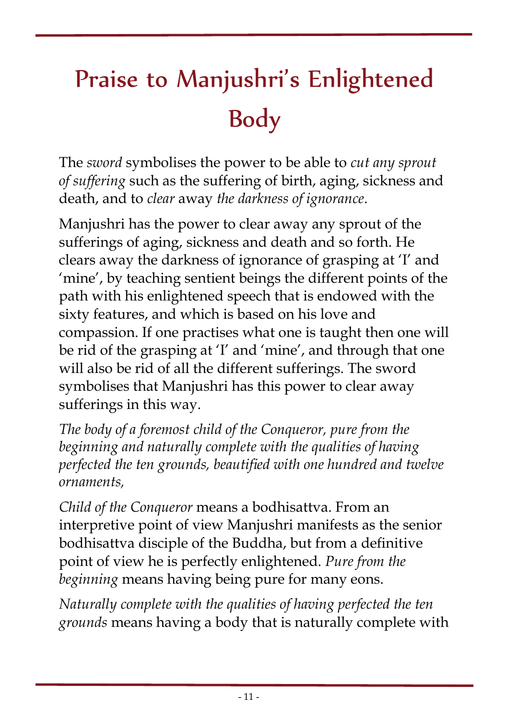## Praise to Manjushri's Enlightened Body

The *sword* symbolises the power to be able to *cut any sprout of suffering* such as the suffering of birth, aging, sickness and death, and to *clear* away *the darkness of ignorance*.

Manjushri has the power to clear away any sprout of the sufferings of aging, sickness and death and so forth. He clears away the darkness of ignorance of grasping at 'I' and 'mine', by teaching sentient beings the different points of the path with his enlightened speech that is endowed with the sixty features, and which is based on his love and compassion. If one practises what one is taught then one will be rid of the grasping at 'I' and 'mine', and through that one will also be rid of all the different sufferings. The sword symbolises that Manjushri has this power to clear away sufferings in this way.

*The body of a foremost child of the Conqueror, pure from the beginning and naturally complete with the qualities of having perfected the ten grounds, beautified with one hundred and twelve ornaments,* 

*Child of the Conqueror* means a bodhisattva. From an interpretive point of view Manjushri manifests as the senior bodhisattva disciple of the Buddha, but from a definitive point of view he is perfectly enlightened. *Pure from the beginning* means having being pure for many eons.

*Naturally complete with the qualities of having perfected the ten grounds* means having a body that is naturally complete with